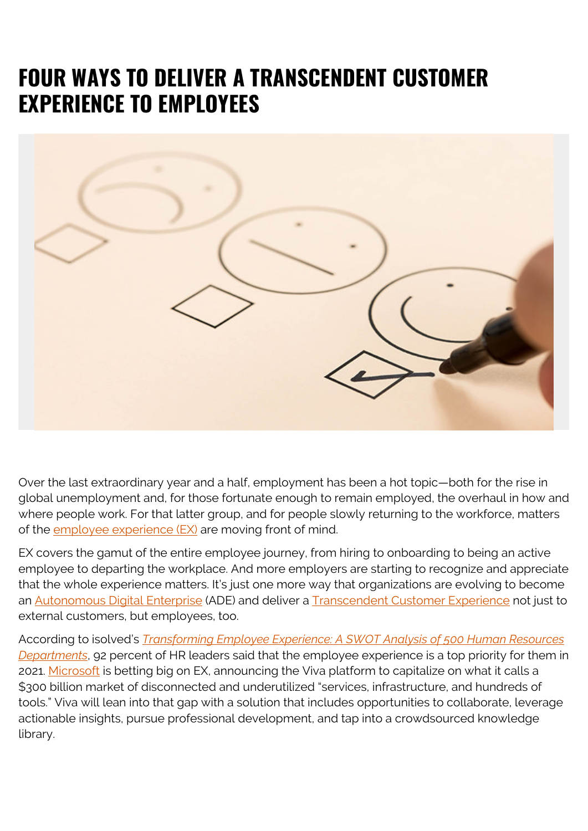## **FOUR WAYS TO DELIVER A TRANSCENDENT CUSTOMER EXPERIENCE TO EMPLOYEES**



Over the last extraordinary year and a half, employment has been a hot topic—both for the rise in global unemployment and, for those fortunate enough to remain employed, the overhaul in how and where people work. For that latter group, and for people slowly returning to the workforce, matters of the employee experience  $(EX)$  are moving front of mind.

EX covers the gamut of the entire employee journey, from hiring to onboarding to being an active employee to departing the workplace. And more employers are starting to recognize and appreciate that the whole experience matters. It's just one more way that organizations are evolving to become an [Autonomous Digital Enterprise](https://blogs.bmc.com/ade) (ADE) and deliver a [Transcendent Customer Experience](https://blogs.bmc.com/it-solutions/transcendent-customer-experience.html) not just to external customers, but employees, too.

According to isolved's *[Transforming Employee Experience: A SWOT Analysis of 500 Human Resources](https://www.isolvedhcm.com/transforming-employee-experience-report) [Departments](https://www.isolvedhcm.com/transforming-employee-experience-report)*, 92 percent of HR leaders said that the employee experience is a top priority for them in 2021. [Microsoft](https://news.microsoft.com/2021/02/04/microsoft-unveils-new-employee-experience-platform-microsoft-viva-to-help-people-thrive-at-work/) is betting big on EX, announcing the Viva platform to capitalize on what it calls a \$300 billion market of disconnected and underutilized "services, infrastructure, and hundreds of tools." Viva will lean into that gap with a solution that includes opportunities to collaborate, leverage actionable insights, pursue professional development, and tap into a crowdsourced knowledge library.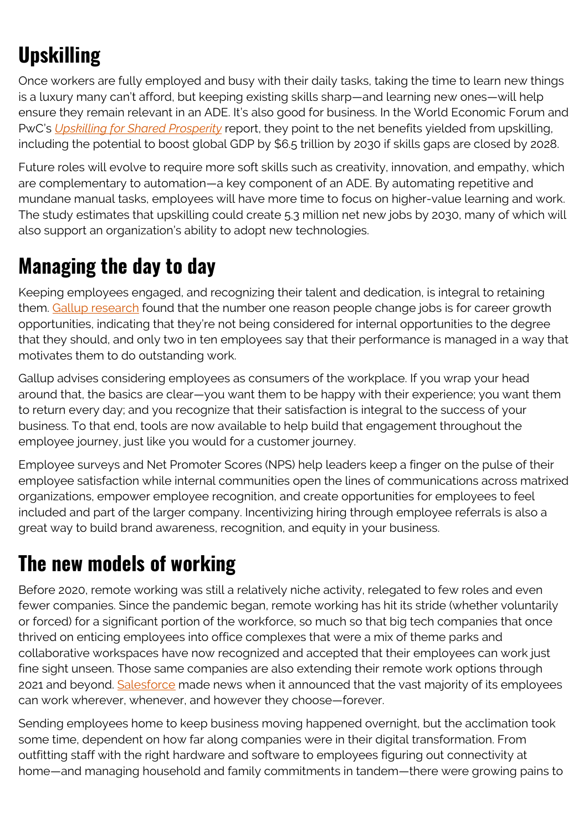# **Upskilling**

Once workers are fully employed and busy with their daily tasks, taking the time to learn new things is a luxury many can't afford, but keeping existing skills sharp—and learning new ones—will help ensure they remain relevant in an ADE. It's also good for business. In the World Economic Forum and PwC's *[Upskilling for Shared Prosperity](https://www.pwc.com/gx/en/issues/upskilling/upskilling-for-shared-prosperity.html)* report, they point to the net benefits yielded from upskilling, including the potential to boost global GDP by \$6.5 trillion by 2030 if skills gaps are closed by 2028.

Future roles will evolve to require more soft skills such as creativity, innovation, and empathy, which are complementary to automation—a key component of an ADE. By automating repetitive and mundane manual tasks, employees will have more time to focus on higher-value learning and work. The study estimates that upskilling could create 5.3 million net new jobs by 2030, many of which will also support an organization's ability to adopt new technologies.

#### **Managing the day to day**

Keeping employees engaged, and recognizing their talent and dedication, is integral to retaining them. [Gallup research](https://www.gallup.com/workplace/242252/employee-experience.aspx) found that the number one reason people change jobs is for career growth opportunities, indicating that they're not being considered for internal opportunities to the degree that they should, and only two in ten employees say that their performance is managed in a way that motivates them to do outstanding work.

Gallup advises considering employees as consumers of the workplace. If you wrap your head around that, the basics are clear—you want them to be happy with their experience; you want them to return every day; and you recognize that their satisfaction is integral to the success of your business. To that end, tools are now available to help build that engagement throughout the employee journey, just like you would for a customer journey.

Employee surveys and Net Promoter Scores (NPS) help leaders keep a finger on the pulse of their employee satisfaction while internal communities open the lines of communications across matrixed organizations, empower employee recognition, and create opportunities for employees to feel included and part of the larger company. Incentivizing hiring through employee referrals is also a great way to build brand awareness, recognition, and equity in your business.

## **The new models of working**

Before 2020, remote working was still a relatively niche activity, relegated to few roles and even fewer companies. Since the pandemic began, remote working has hit its stride (whether voluntarily or forced) for a significant portion of the workforce, so much so that big tech companies that once thrived on enticing employees into office complexes that were a mix of theme parks and collaborative workspaces have now recognized and accepted that their employees can work just fine sight unseen. Those same companies are also extending their remote work options through 2021 and beyond. [Salesforce](https://www.salesforce.com/news/stories/creating-a-best-workplace-from-anywhere/) made news when it announced that the vast majority of its employees can work wherever, whenever, and however they choose—forever.

Sending employees home to keep business moving happened overnight, but the acclimation took some time, dependent on how far along companies were in their digital transformation. From outfitting staff with the right hardware and software to employees figuring out connectivity at home—and managing household and family commitments in tandem—there were growing pains to